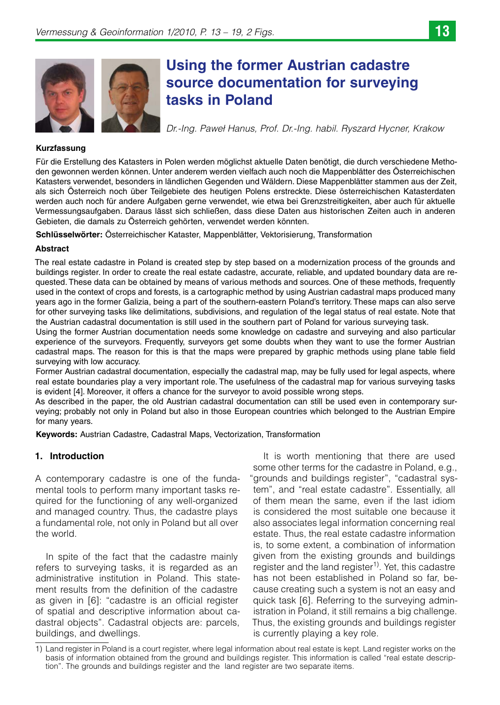

# **Using the former Austrian cadastre source documentation for surveying tasks in Poland**

*Dr.-Ing. Paweł Hanus, Prof. Dr.-Ing. habil. Ryszard Hycner, Krakow* 

#### **Kurzfassung**

Für die Erstellung des Katasters in Polen werden möglichst aktuelle Daten benötigt, die durch verschiedene Methoden gewonnen werden können. Unter anderem werden vielfach auch noch die Mappenblätter des Österreichischen Katasters verwendet, besonders in ländlichen Gegenden und Wäldern. Diese Mappenblätter stammen aus der Zeit, als sich Österreich noch über Teilgebiete des heutigen Polens erstreckte. Diese österreichischen Katasterdaten werden auch noch für andere Aufgaben gerne verwendet, wie etwa bei Grenzstreitigkeiten, aber auch für aktuelle Vermessungsaufgaben. Daraus lässt sich schließen, dass diese Daten aus historischen Zeiten auch in anderen Gebieten, die damals zu Österreich gehörten, verwendet werden könnten.

**Schlüsselwörter:** Österreichischer Kataster, Mappenblätter, Vektorisierung, Transformation

#### **Abstract**

The real estate cadastre in Poland is created step by step based on a modernization process of the grounds and buildings register. In order to create the real estate cadastre, accurate, reliable, and updated boundary data are requested. These data can be obtained by means of various methods and sources. One of these methods, frequently used in the context of crops and forests, is a cartographic method by using Austrian cadastral maps produced many years ago in the former Galizia, being a part of the southern-eastern Poland's territory. These maps can also serve for other surveying tasks like delimitations, subdivisions, and regulation of the legal status of real estate. Note that the Austrian cadastral documentation is still used in the southern part of Poland for various surveying task.

Using the former Austrian documentation needs some knowledge on cadastre and surveying and also particular experience of the surveyors. Frequently, surveyors get some doubts when they want to use the former Austrian cadastral maps. The reason for this is that the maps were prepared by graphic methods using plane table field surveying with low accuracy.

Former Austrian cadastral documentation, especially the cadastral map, may be fully used for legal aspects, where real estate boundaries play a very important role. The usefulness of the cadastral map for various surveying tasks is evident [4]. Moreover, it offers a chance for the surveyor to avoid possible wrong steps.

As described in the paper, the old Austrian cadastral documentation can still be used even in contemporary surveying; probably not only in Poland but also in those European countries which belonged to the Austrian Empire for many years.

**Keywords:** Austrian Cadastre, Cadastral Maps, Vectorization, Transformation

## **1. Introduction**

A contemporary cadastre is one of the fundamental tools to perform many important tasks required for the functioning of any well-organized and managed country. Thus, the cadastre plays a fundamental role, not only in Poland but all over the world.

In spite of the fact that the cadastre mainly refers to surveying tasks, it is regarded as an administrative institution in Poland. This statement results from the definition of the cadastre as given in [6]: "cadastre is an official register of spatial and descriptive information about cadastral objects". Cadastral objects are: parcels, buildings, and dwellings.

It is worth mentioning that there are used some other terms for the cadastre in Poland, e.g., "grounds and buildings register", "cadastral system", and "real estate cadastre". Essentially, all of them mean the same, even if the last idiom is considered the most suitable one because it also associates legal information concerning real estate. Thus, the real estate cadastre information is, to some extent, a combination of information given from the existing grounds and buildings register and the land register<sup>1)</sup>. Yet, this cadastre has not been established in Poland so far, because creating such a system is not an easy and quick task [6]. Referring to the surveying administration in Poland, it still remains a big challenge. Thus, the existing grounds and buildings register is currently playing a key role.

<sup>1)</sup> Land register in Poland is a court register, where legal information about real estate is kept. Land register works on the basis of information obtained from the ground and buildings register. This information is called "real estate description". The grounds and buildings register and the land register are two separate items.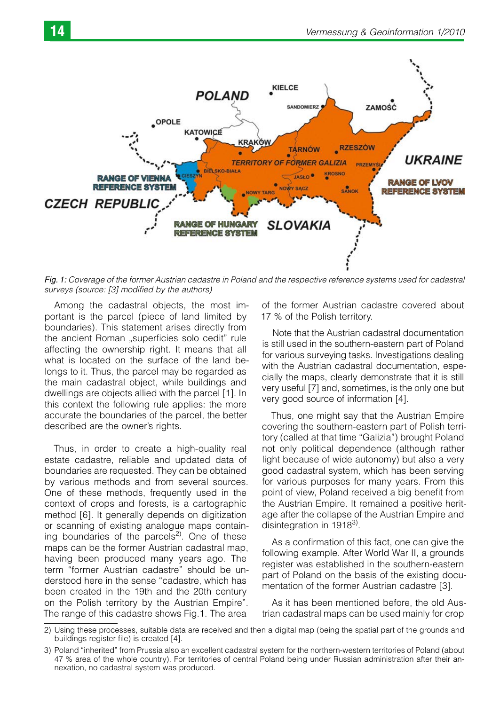

*Fig. 1: Coverage of the former Austrian cadastre in Poland and the respective reference systems used for cadastral surveys (source: [3] modified by the authors)* 

Among the cadastral objects, the most important is the parcel (piece of land limited by boundaries). This statement arises directly from the ancient Roman "superficies solo cedit" rule affecting the ownership right. It means that all what is located on the surface of the land belongs to it. Thus, the parcel may be regarded as the main cadastral object, while buildings and dwellings are objects allied with the parcel [1]. In this context the following rule applies: the more accurate the boundaries of the parcel, the better described are the owner's rights.

Thus, in order to create a high-quality real estate cadastre, reliable and updated data of boundaries are requested. They can be obtained by various methods and from several sources. One of these methods, frequently used in the context of crops and forests, is a cartographic method [6]. It generally depends on digitization or scanning of existing analogue maps containing boundaries of the parcels<sup>2)</sup>. One of these maps can be the former Austrian cadastral map, having been produced many years ago. The term "former Austrian cadastre" should be understood here in the sense "cadastre, which has been created in the 19th and the 20th century on the Polish territory by the Austrian Empire". The range of this cadastre shows Fig.1. The area

of the former Austrian cadastre covered about 17 % of the Polish territory.

Note that the Austrian cadastral documentation is still used in the southern-eastern part of Poland for various surveying tasks. Investigations dealing with the Austrian cadastral documentation, especially the maps, clearly demonstrate that it is still very useful [7] and, sometimes, is the only one but very good source of information [4].

Thus, one might say that the Austrian Empire covering the southern-eastern part of Polish territory (called at that time "Galizia") brought Poland not only political dependence (although rather light because of wide autonomy) but also a very good cadastral system, which has been serving for various purposes for many years. From this point of view, Poland received a big benefit from the Austrian Empire. It remained a positive heritage after the collapse of the Austrian Empire and disintegration in  $1918^3$ .

As a confirmation of this fact, one can give the following example. After World War II, a grounds register was established in the southern-eastern part of Poland on the basis of the existing documentation of the former Austrian cadastre [3].

As it has been mentioned before, the old Austrian cadastral maps can be used mainly for crop

<sup>2)</sup> Using these processes, suitable data are received and then a digital map (being the spatial part of the grounds and buildings register file) is created [4].

<sup>3)</sup> Poland "inherited" from Prussia also an excellent cadastral system for the northern-western territories of Poland (about 47 % area of the whole country). For territories of central Poland being under Russian administration after their annexation, no cadastral system was produced.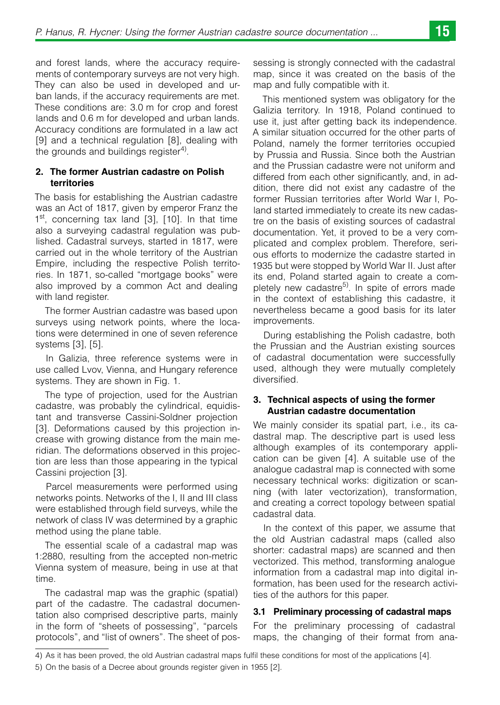and forest lands, where the accuracy requirements of contemporary surveys are not very high. They can also be used in developed and urban lands, if the accuracy requirements are met. These conditions are: 3.0 m for crop and forest lands and 0.6 m for developed and urban lands. Accuracy conditions are formulated in a law act [9] and a technical regulation [8], dealing with the grounds and buildings register $4$ <sup>0</sup>.

## **2. The former Austrian cadastre on Polish territories**

The basis for establishing the Austrian cadastre was an Act of 1817, given by emperor Franz the 1<sup>st</sup>, concerning tax land [3], [10]. In that time also a surveying cadastral regulation was published. Cadastral surveys, started in 1817, were carried out in the whole territory of the Austrian Empire, including the respective Polish territories. In 1871, so-called "mortgage books" were also improved by a common Act and dealing with land register.

The former Austrian cadastre was based upon surveys using network points, where the locations were determined in one of seven reference systems [3], [5].

In Galizia, three reference systems were in use called Lvov, Vienna, and Hungary reference systems. They are shown in Fig. 1.

The type of projection, used for the Austrian cadastre, was probably the cylindrical, equidistant and transverse Cassini-Soldner projection [3]. Deformations caused by this projection increase with growing distance from the main meridian. The deformations observed in this projection are less than those appearing in the typical Cassini projection [3].

Parcel measurements were performed using networks points. Networks of the I, II and III class were established through field surveys, while the network of class IV was determined by a graphic method using the plane table.

The essential scale of a cadastral map was 1:2880, resulting from the accepted non-metric Vienna system of measure, being in use at that time.

The cadastral map was the graphic (spatial) part of the cadastre. The cadastral documentation also comprised descriptive parts, mainly in the form of "sheets of possessing", "parcels protocols", and "list of owners". The sheet of possessing is strongly connected with the cadastral map, since it was created on the basis of the map and fully compatible with it.

This mentioned system was obligatory for the Galizia territory. In 1918, Poland continued to use it, just after getting back its independence. A similar situation occurred for the other parts of Poland, namely the former territories occupied by Prussia and Russia. Since both the Austrian and the Prussian cadastre were not uniform and differed from each other significantly, and, in addition, there did not exist any cadastre of the former Russian territories after World War I, Poland started immediately to create its new cadastre on the basis of existing sources of cadastral documentation. Yet, it proved to be a very complicated and complex problem. Therefore, serious efforts to modernize the cadastre started in 1935 but were stopped by World War II. Just after its end, Poland started again to create a completely new cadastre<sup>5)</sup>. In spite of errors made in the context of establishing this cadastre, it nevertheless became a good basis for its later improvements.

During establishing the Polish cadastre, both the Prussian and the Austrian existing sources of cadastral documentation were successfully used, although they were mutually completely diversified.

## **3. Technical aspects of using the former Austrian cadastre documentation**

We mainly consider its spatial part, i.e., its cadastral map. The descriptive part is used less although examples of its contemporary application can be given [4]. A suitable use of the analogue cadastral map is connected with some necessary technical works: digitization or scanning (with later vectorization), transformation, and creating a correct topology between spatial cadastral data.

In the context of this paper, we assume that the old Austrian cadastral maps (called also shorter: cadastral maps) are scanned and then vectorized. This method, transforming analogue information from a cadastral map into digital information, has been used for the research activities of the authors for this paper.

# **3.1 Preliminary processing of cadastral maps**

For the preliminary processing of cadastral maps, the changing of their format from ana-

<sup>4)</sup> As it has been proved, the old Austrian cadastral maps fulfil these conditions for most of the applications [4].

<sup>5)</sup> On the basis of a Decree about grounds register given in 1955 [2].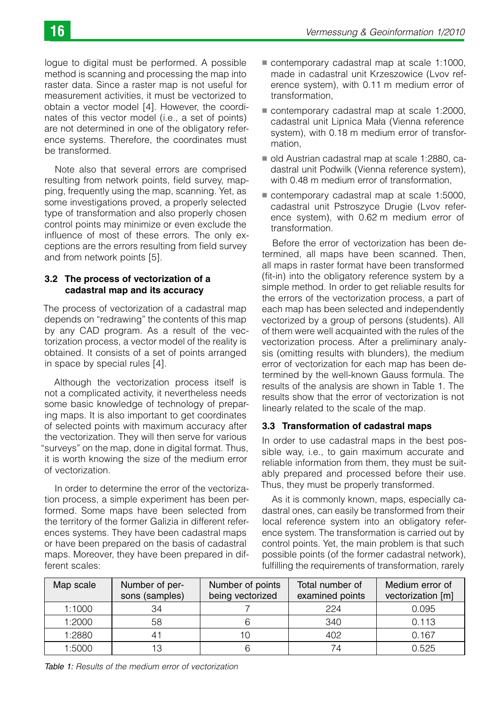logue to digital must be performed. A possible method is scanning and processing the map into raster data. Since a raster map is not useful for measurement activities, it must be vectorized to obtain a vector model [4]. However, the coordinates of this vector model (i.e., a set of points) are not determined in one of the obligatory reference systems. Therefore, the coordinates must be transformed.

Note also that several errors are comprised resulting from network points, field survey, mapping, frequently using the map, scanning. Yet, as some investigations proved, a properly selected type of transformation and also properly chosen control points may minimize or even exclude the influence of most of these errors. The only exceptions are the errors resulting from field survey and from network points [5].

## **3.2 The process of vectorization of a cadastral map and its accuracy**

The process of vectorization of a cadastral map depends on "redrawing" the contents of this map by any CAD program. As a result of the vectorization process, a vector model of the reality is obtained. It consists of a set of points arranged in space by special rules [4].

Although the vectorization process itself is not a complicated activity, it nevertheless needs some basic knowledge of technology of preparing maps. It is also important to get coordinates of selected points with maximum accuracy after the vectorization. They will then serve for various "surveys" on the map, done in digital format. Thus, it is worth knowing the size of the medium error of vectorization.

In order to determine the error of the vectorization process, a simple experiment has been performed. Some maps have been selected from the territory of the former Galizia in different references systems. They have been cadastral maps or have been prepared on the basis of cadastral maps. Moreover, they have been prepared in different scales:

- contemporary cadastral map at scale 1:1000, made in cadastral unit Krzeszowice (Lvov reference system), with 0.11 m medium error of transformation,
- contemporary cadastral map at scale 1:2000, cadastral unit Lipnica Mała (Vienna reference system), with 0.18 m medium error of transformation,
- old Austrian cadastral map at scale 1:2880, cadastral unit Podwilk (Vienna reference system), with 0.48 m medium error of transformation,
- contemporary cadastral map at scale 1:5000, cadastral unit Pstroszyce Drugie (Lvov reference system), with 0.62 m medium error of transformation.

Before the error of vectorization has been determined, all maps have been scanned. Then, all maps in raster format have been transformed (fit-in) into the obligatory reference system by a simple method. In order to get reliable results for the errors of the vectorization process, a part of each map has been selected and independently vectorized by a group of persons (students). All of them were well acquainted with the rules of the vectorization process. After a preliminary analysis (omitting results with blunders), the medium error of vectorization for each map has been determined by the well-known Gauss formula. The results of the analysis are shown in Table 1. The results show that the error of vectorization is not linearly related to the scale of the map.

# **3.3 Transformation of cadastral maps**

In order to use cadastral maps in the best possible way, i.e., to gain maximum accurate and reliable information from them, they must be suitably prepared and processed before their use. Thus, they must be properly transformed.

As it is commonly known, maps, especially cadastral ones, can easily be transformed from their local reference system into an obligatory reference system. The transformation is carried out by control points. Yet, the main problem is that such possible points (of the former cadastral network), fulfilling the requirements of transformation, rarely

| Map scale | Number of per-<br>sons (samples) | Number of points<br>being vectorized | Total number of<br>examined points | Medium error of<br>vectorization [m] |
|-----------|----------------------------------|--------------------------------------|------------------------------------|--------------------------------------|
| 1:1000    | 34                               |                                      | 224                                | 0.095                                |
| 1:2000    | 58                               |                                      | 340                                | 0.113                                |
| 1:2880    |                                  |                                      | 402                                | 0.167                                |
| 1:5000    | ıз                               |                                      |                                    | 0.525                                |

*Table 1: Results of the medium error of vectorization*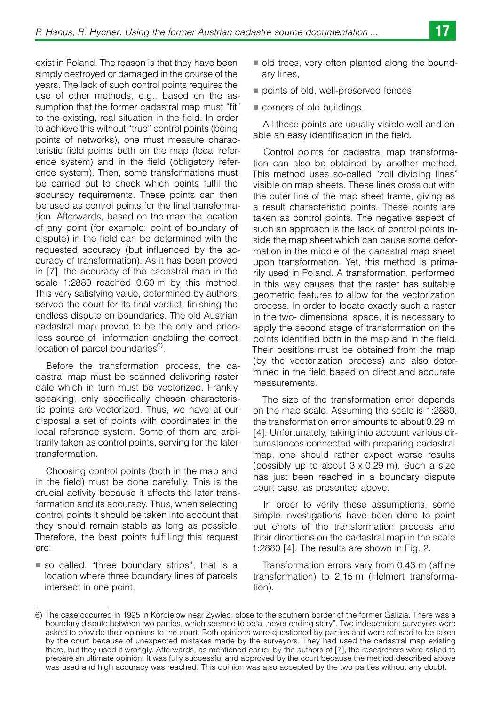exist in Poland. The reason is that they have been simply destroyed or damaged in the course of the years. The lack of such control points requires the use of other methods, e.g., based on the assumption that the former cadastral map must "fit" to the existing, real situation in the field. In order to achieve this without "true" control points (being points of networks), one must measure characteristic field points both on the map (local reference system) and in the field (obligatory reference system). Then, some transformations must be carried out to check which points fulfil the

accuracy requirements. These points can then be used as control points for the final transformation. Afterwards, based on the map the location of any point (for example: point of boundary of dispute) in the field can be determined with the requested accuracy (but influenced by the accuracy of transformation). As it has been proved in [7], the accuracy of the cadastral map in the scale 1:2880 reached 0.60 m by this method. This very satisfying value, determined by authors, served the court for its final verdict, finishing the endless dispute on boundaries. The old Austrian cadastral map proved to be the only and priceless source of information enabling the correct location of parcel boundaries $6$ ).

Before the transformation process, the cadastral map must be scanned delivering raster date which in turn must be vectorized. Frankly speaking, only specifically chosen characteristic points are vectorized. Thus, we have at our disposal a set of points with coordinates in the local reference system. Some of them are arbitrarily taken as control points, serving for the later transformation.

Choosing control points (both in the map and in the field) must be done carefully. This is the crucial activity because it affects the later transformation and its accuracy. Thus, when selecting control points it should be taken into account that they should remain stable as long as possible. Therefore, the best points fulfilling this request are:

so called: "three boundary strips", that is a location where three boundary lines of parcels intersect in one point,

- old trees, very often planted along the boundary lines,
- points of old, well-preserved fences,
- corners of old buildings.

All these points are usually visible well and enable an easy identification in the field.

Control points for cadastral map transformation can also be obtained by another method. This method uses so-called "zoll dividing lines" visible on map sheets. These lines cross out with the outer line of the map sheet frame, giving as a result characteristic points. These points are taken as control points. The negative aspect of such an approach is the lack of control points inside the map sheet which can cause some deformation in the middle of the cadastral map sheet upon transformation. Yet, this method is primarily used in Poland. A transformation, performed in this way causes that the raster has suitable geometric features to allow for the vectorization process. In order to locate exactly such a raster in the two- dimensional space, it is necessary to apply the second stage of transformation on the points identified both in the map and in the field. Their positions must be obtained from the map (by the vectorization process) and also determined in the field based on direct and accurate measurements.

The size of the transformation error depends on the map scale. Assuming the scale is 1:2880, the transformation error amounts to about 0.29 m [4]. Unfortunately, taking into account various circumstances connected with preparing cadastral map, one should rather expect worse results (possibly up to about  $3 \times 0.29$  m). Such a size has just been reached in a boundary dispute court case, as presented above.

In order to verify these assumptions, some simple investigations have been done to point out errors of the transformation process and their directions on the cadastral map in the scale 1:2880 [4]. The results are shown in Fig. 2.

Transformation errors vary from 0.43 m (affine transformation) to 2.15 m (Helmert transformation).

<sup>6)</sup> The case occurred in 1995 in Korbielow near Zywiec, close to the southern border of the former Galizia. There was a boundary dispute between two parties, which seemed to be a "never ending story". Two independent surveyors were asked to provide their opinions to the court. Both opinions were questioned by parties and were refused to be taken by the court because of unexpected mistakes made by the surveyors. They had used the cadastral map existing there, but they used it wrongly. Afterwards, as mentioned earlier by the authors of [7], the researchers were asked to prepare an ultimate opinion. It was fully successful and approved by the court because the method described above was used and high accuracy was reached. This opinion was also accepted by the two parties without any doubt.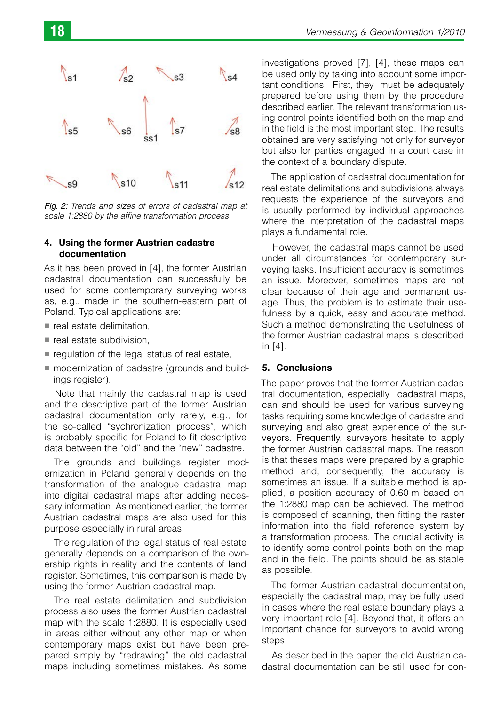

*Fig. 2: Trends and sizes of errors of cadastral map at scale 1:2880 by the affine transformation process* 

#### **4. Using the former Austrian cadastre documentation**

As it has been proved in [4], the former Austrian cadastral documentation can successfully be used for some contemporary surveying works as, e.g., made in the southern-eastern part of Poland. Typical applications are:

- ereal estate delimitation,
- real estate subdivision,
- regulation of the legal status of real estate,
- modernization of cadastre (grounds and buildings register).

Note that mainly the cadastral map is used and the descriptive part of the former Austrian cadastral documentation only rarely, e.g., for the so-called "sychronization process", which is probably specific for Poland to fit descriptive data between the "old" and the "new" cadastre.

The grounds and buildings register modernization in Poland generally depends on the transformation of the analogue cadastral map into digital cadastral maps after adding necessary information. As mentioned earlier, the former Austrian cadastral maps are also used for this purpose especially in rural areas.

The regulation of the legal status of real estate generally depends on a comparison of the ownership rights in reality and the contents of land register. Sometimes, this comparison is made by using the former Austrian cadastral map.

The real estate delimitation and subdivision process also uses the former Austrian cadastral map with the scale 1:2880. It is especially used in areas either without any other map or when contemporary maps exist but have been prepared simply by "redrawing" the old cadastral maps including sometimes mistakes. As some

investigations proved [7], [4], these maps can be used only by taking into account some important conditions. First, they must be adequately prepared before using them by the procedure described earlier. The relevant transformation using control points identified both on the map and in the field is the most important step. The results obtained are very satisfying not only for surveyor but also for parties engaged in a court case in the context of a boundary dispute.

The application of cadastral documentation for real estate delimitations and subdivisions always requests the experience of the surveyors and is usually performed by individual approaches where the interpretation of the cadastral maps plays a fundamental role.

However, the cadastral maps cannot be used under all circumstances for contemporary surveying tasks. Insufficient accuracy is sometimes an issue. Moreover, sometimes maps are not clear because of their age and permanent usage. Thus, the problem is to estimate their usefulness by a quick, easy and accurate method. Such a method demonstrating the usefulness of the former Austrian cadastral maps is described in [4].

#### **5. Conclusions**

The paper proves that the former Austrian cadastral documentation, especially cadastral maps, can and should be used for various surveying tasks requiring some knowledge of cadastre and surveying and also great experience of the surveyors. Frequently, surveyors hesitate to apply the former Austrian cadastral maps. The reason is that theses maps were prepared by a graphic method and, consequently, the accuracy is sometimes an issue. If a suitable method is applied, a position accuracy of 0.60 m based on the 1:2880 map can be achieved. The method is composed of scanning, then fitting the raster information into the field reference system by a transformation process. The crucial activity is to identify some control points both on the map and in the field. The points should be as stable as possible.

The former Austrian cadastral documentation, especially the cadastral map, may be fully used in cases where the real estate boundary plays a very important role [4]. Beyond that, it offers an important chance for surveyors to avoid wrong steps.

As described in the paper, the old Austrian cadastral documentation can be still used for con